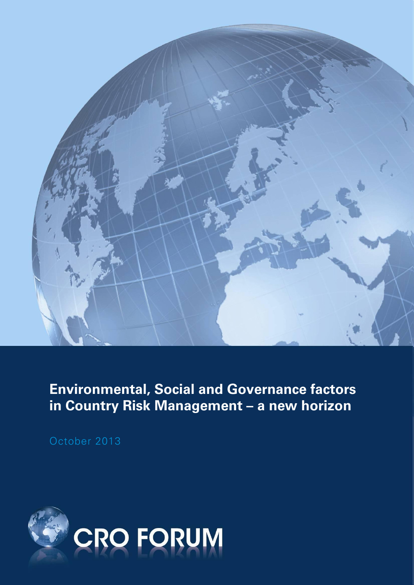

**Environmental, Social and Governance factors in Country Risk Management – a new horizon** 

October 2013

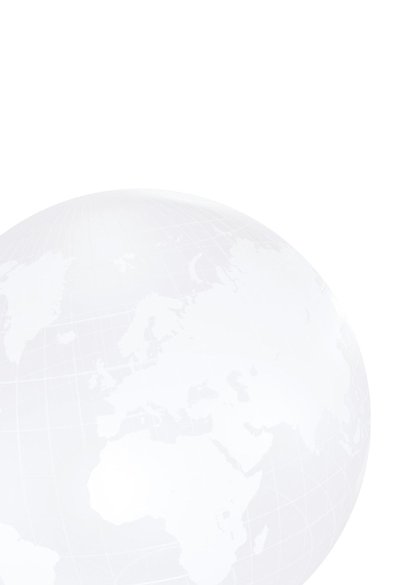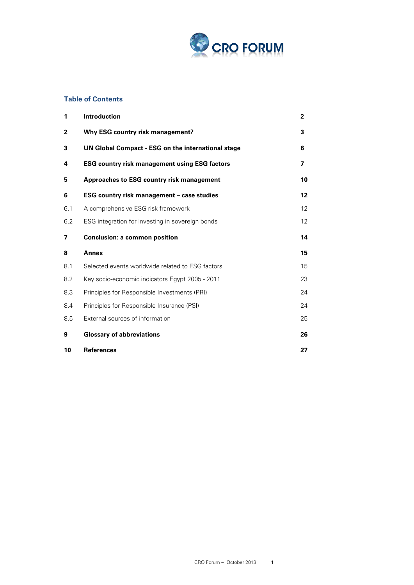

# **Table of Contents**

| 1   | Introduction                                         | $\mathbf{2}$            |
|-----|------------------------------------------------------|-------------------------|
| 2   | Why ESG country risk management?                     | 3                       |
| 3   | UN Global Compact - ESG on the international stage   | 6                       |
| 4   | <b>ESG country risk management using ESG factors</b> | $\overline{\mathbf{z}}$ |
| 5   | Approaches to ESG country risk management            | 10                      |
| 6   | ESG country risk management – case studies           | 12                      |
| 6.1 | A comprehensive ESG risk framework                   | 12                      |
| 6.2 | ESG integration for investing in sovereign bonds     | 12                      |
| 7   | <b>Conclusion: a common position</b>                 | 14                      |
| 8   | <b>Annex</b>                                         | 15                      |
| 8.1 | Selected events worldwide related to ESG factors     | 15                      |
| 8.2 | Key socio-economic indicators Egypt 2005 - 2011      | 23                      |
| 8.3 | Principles for Responsible Investments (PRI)         | 24                      |
| 8.4 | Principles for Responsible Insurance (PSI)           | 24                      |
| 8.5 | External sources of information                      | 25                      |
| 9   | <b>Glossary of abbreviations</b>                     | 26                      |
| 10  | <b>References</b>                                    | 27                      |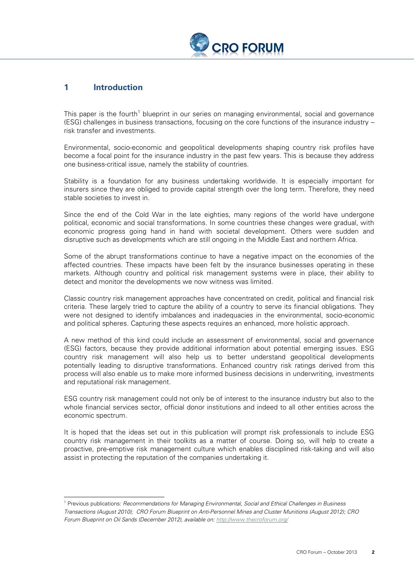

# **1 Introduction**

l

This paper is the fourth<sup>1</sup> blueprint in our series on managing environmental, social and governance (ESG) challenges in business transactions, focusing on the core functions of the insurance industry – risk transfer and investments.

Environmental, socio-economic and geopolitical developments shaping country risk profiles have become a focal point for the insurance industry in the past few years. This is because they address one business-critical issue, namely the stability of countries.

Stability is a foundation for any business undertaking worldwide. It is especially important for insurers since they are obliged to provide capital strength over the long term. Therefore, they need stable societies to invest in.

Since the end of the Cold War in the late eighties, many regions of the world have undergone political, economic and social transformations. In some countries these changes were gradual, with economic progress going hand in hand with societal development. Others were sudden and disruptive such as developments which are still ongoing in the Middle East and northern Africa.

Some of the abrupt transformations continue to have a negative impact on the economies of the affected countries. These impacts have been felt by the insurance businesses operating in these markets. Although country and political risk management systems were in place, their ability to detect and monitor the developments we now witness was limited.

Classic country risk management approaches have concentrated on credit, political and financial risk criteria. These largely tried to capture the ability of a country to serve its financial obligations. They were not designed to identify imbalances and inadequacies in the environmental, socio-economic and political spheres. Capturing these aspects requires an enhanced, more holistic approach.

A new method of this kind could include an assessment of environmental, social and governance (ESG) factors, because they provide additional information about potential emerging issues. ESG country risk management will also help us to better understand geopolitical developments potentially leading to disruptive transformations. Enhanced country risk ratings derived from this process will also enable us to make more informed business decisions in underwriting, investments and reputational risk management.

ESG country risk management could not only be of interest to the insurance industry but also to the whole financial services sector, official donor institutions and indeed to all other entities across the economic spectrum.

It is hoped that the ideas set out in this publication will prompt risk professionals to include ESG country risk management in their toolkits as a matter of course. Doing so, will help to create a proactive, pre-emptive risk management culture which enables disciplined risk-taking and will also assist in protecting the reputation of the companies undertaking it.

<sup>1</sup> Previous publications: *Recommendations for Managing Environmental, Social and Ethical Challenges in Business Transactions (August 2010); CRO Forum Blueprint on Anti-Personnel Mines and Cluster Munitions (August 2012); CRO Forum Blueprint on Oil Sands (December 2012), available on:<http://www.thecroforum.org/>*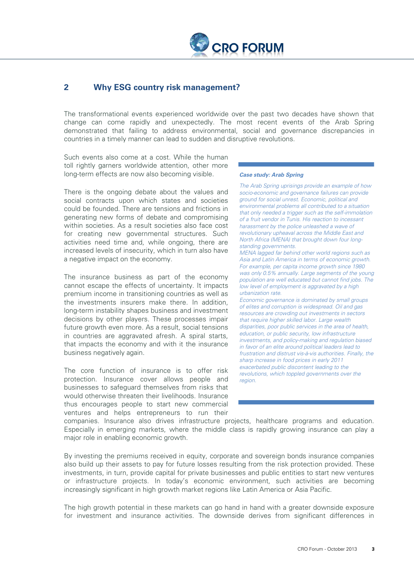

# **2 Why ESG country risk management?**

The transformational events experienced worldwide over the past two decades have shown that change can come rapidly and unexpectedly. The most recent events of the Arab Spring demonstrated that failing to address environmental, social and governance discrepancies in countries in a timely manner can lead to sudden and disruptive revolutions.

Such events also come at a cost. While the human toll rightly garners worldwide attention, other more long-term effects are now also becoming visible.

There is the ongoing debate about the values and social contracts upon which states and societies could be founded. There are tensions and frictions in generating new forms of debate and compromising within societies. As a result societies also face cost for creating new governmental structures. Such activities need time and, while ongoing, there are increased levels of insecurity, which in turn also have a negative impact on the economy.

The insurance business as part of the economy cannot escape the effects of uncertainty. It impacts premium income in transitioning countries as well as the investments insurers make there. In addition, long-term instability shapes business and investment decisions by other players. These processes impair future growth even more. As a result, social tensions in countries are aggravated afresh. A spiral starts, that impacts the economy and with it the insurance business negatively again.

The core function of insurance is to offer risk protection. Insurance cover allows people and businesses to safeguard themselves from risks that would otherwise threaten their livelihoods. Insurance thus encourages people to start new commercial ventures and helps entrepreneurs to run their

### *Case study: Arab Spring*

*The Arab Spring uprisings provide an example of how socio-economic and governance failures can provide ground for social unrest. Economic, political and environmental problems all contributed to a situation that only needed a trigger such as the self-immolation of a fruit vendor in Tunis. His reaction to incessant harassment by the police unleashed a wave of revolutionary upheaval across the Middle East and North Africa (MENA) that brought down four longstanding governments. MENA lagged far behind other world regions such as Asia and Latin America in terms of economic growth.* 

*For example, per capita income growth since 1980 was only 0.5% annually. Large segments of the young population are well educated but cannot find jobs. The low level of employment is aggravated by a high urbanization rate.*

*Economic governance is dominated by small groups of elites and corruption is widespread. Oil and gas resources are crowding out investments in sectors that require higher skilled labor. Large wealth disparities, poor public services in the area of health, education, or public security, low infrastructure investments, and policy-making and regulation biased in favor of an elite around political leaders lead to frustration and distrust vis-à-vis authorities. Finally, the sharp increase in food prices in early 2011 exacerbated public discontent leading to the revolutions, which toppled governments over the region.*

companies. Insurance also drives infrastructure projects, healthcare programs and education. Especially in emerging markets, where the middle class is rapidly growing insurance can play a major role in enabling economic growth.

By investing the premiums received in equity, corporate and sovereign bonds insurance companies also build up their assets to pay for future losses resulting from the risk protection provided. These investments, in turn, provide capital for private businesses and public entities to start new ventures or infrastructure projects. In today's economic environment, such activities are becoming increasingly significant in high growth market regions like Latin America or Asia Pacific.

The high growth potential in these markets can go hand in hand with a greater downside exposure for investment and insurance activities. The downside derives from significant differences in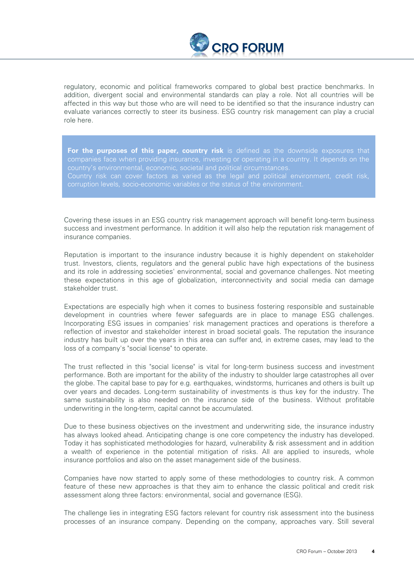

regulatory, economic and political frameworks compared to global best practice benchmarks. In addition, divergent social and environmental standards can play a role. Not all countries will be affected in this way but those who are will need to be identified so that the insurance industry can evaluate variances correctly to steer its business. ESG country risk management can play a crucial role here.

For the purposes of this paper, country risk is defined as the downside exposures that companies face when providing insurance, investing or operating in a country. It depends on the Country risk can cover factors as varied as the legal and political environment, credit risk, corruption levels, socio-economic variables or the status of the environment.

Covering these issues in an ESG country risk management approach will benefit long-term business success and investment performance. In addition it will also help the reputation risk management of insurance companies.

Reputation is important to the insurance industry because it is highly dependent on stakeholder trust. Investors, clients, regulators and the general public have high expectations of the business and its role in addressing societies' environmental, social and governance challenges. Not meeting these expectations in this age of globalization, interconnectivity and social media can damage stakeholder trust.

Expectations are especially high when it comes to business fostering responsible and sustainable development in countries where fewer safeguards are in place to manage ESG challenges. Incorporating ESG issues in companies' risk management practices and operations is therefore a reflection of investor and stakeholder interest in broad societal goals. The reputation the insurance industry has built up over the years in this area can suffer and, in extreme cases, may lead to the loss of a company's "social license" to operate.

The trust reflected in this "social license" is vital for long-term business success and investment performance. Both are important for the ability of the industry to shoulder large catastrophes all over the globe. The capital base to pay for e.g. earthquakes, windstorms, hurricanes and others is built up over years and decades. Long-term sustainability of investments is thus key for the industry. The same sustainability is also needed on the insurance side of the business. Without profitable underwriting in the long-term, capital cannot be accumulated.

Due to these business objectives on the investment and underwriting side, the insurance industry has always looked ahead. Anticipating change is one core competency the industry has developed. Today it has sophisticated methodologies for hazard, vulnerability & risk assessment and in addition a wealth of experience in the potential mitigation of risks. All are applied to insureds, whole insurance portfolios and also on the asset management side of the business.

Companies have now started to apply some of these methodologies to country risk. A common feature of these new approaches is that they aim to enhance the classic political and credit risk assessment along three factors: environmental, social and governance (ESG).

The challenge lies in integrating ESG factors relevant for country risk assessment into the business processes of an insurance company. Depending on the company, approaches vary. Still several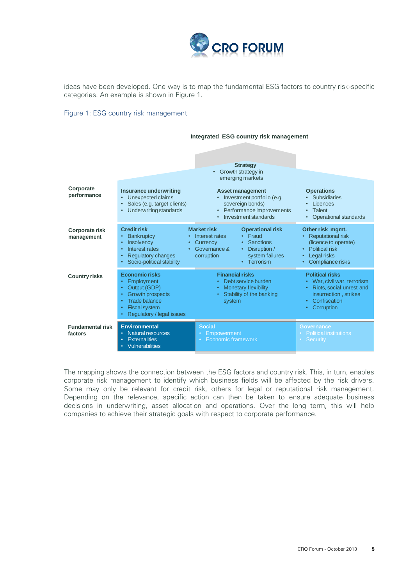

ideas have been developed. One way is to map the fundamental ESG factors to country risk-specific categories. An example is shown in Figure 1.





The mapping shows the connection between the ESG factors and country risk. This, in turn, enables corporate risk management to identify which business fields will be affected by the risk drivers. Some may only be relevant for credit risk, others for legal or reputational risk management. Depending on the relevance, specific action can then be taken to ensure adequate business decisions in underwriting, asset allocation and operations. Over the long term, this will help companies to achieve their strategic goals with respect to corporate performance.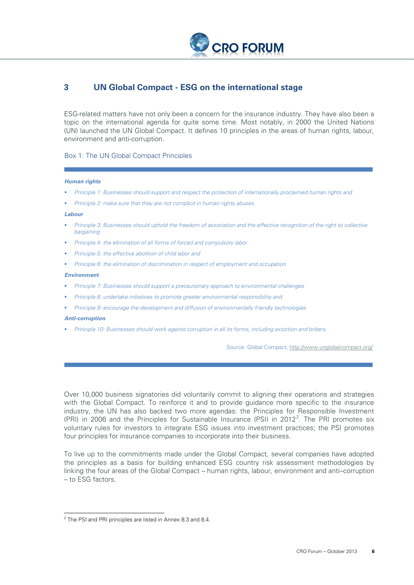

# **3 UN Global Compact - ESG on the international stage**

ESG-related matters have not only been a concern for the insurance industry. They have also been a topic on the international agenda for quite some time. Most notably, in 2000 the United Nations (UN) launched the UN Global Compact. It defines 10 principles in the areas of human rights, labour, environment and anti-corruption.

## Box 1: The UN Global Compact Principles

### *Human rights*

- *Principle 1: Businesses should support and respect the protection of internationally proclaimed human rights and*
- *Principle 2: make sure that they are not complicit in human rights abuses*

### *Labour*

- *Principle 3: Businesses should uphold the freedom of association and the effective recognition of the right to collective bargaining*
- *Principle 4: the elimination of all forms of forced and compulsory labor*
- *Principle 5: the effective abolition of child labor and*
- **Principle 6: the elimination of discrimination in respect of employment and occupation**

### *Environment*

- *Principle 7: Businesses should support a precautionary approach to environmental challenges*
- *Principle 8: undertake initiatives to promote greater environmental responsibility and*
- **Principle 9: encourage the development and diffusion of environmentally friendly technologies**

### *Anti-corruption*

l

*Principle 10: Businesses should work against corruption in all its forms, including extortion and bribery*

Source: Global Compact[, http://www.unglobalcompact.org/](http://www.unglobalcompact.org/)

Over 10,000 business signatories did voluntarily commit to aligning their operations and strategies with the Global Compact. To reinforce it and to provide guidance more specific to the insurance industry, the UN has also backed two more agendas: the Principles for Responsible Investment (PRI) in 2006 and the Principles for Sustainable Insurance (PSI) in 2012<sup>2</sup>. The PRI promotes six voluntary rules for investors to integrate ESG issues into investment practices; the PSI promotes four principles for insurance companies to incorporate into their business.

To live up to the commitments made under the Global Compact, several companies have adopted the principles as a basis for building enhanced ESG country risk assessment methodologies by linking the four areas of the Global Compact – human rights, labour, environment and anti–corruption – to ESG factors.

<sup>&</sup>lt;sup>2</sup> The PSI and PRI principles are listed in Annex 8.3 and 8.4.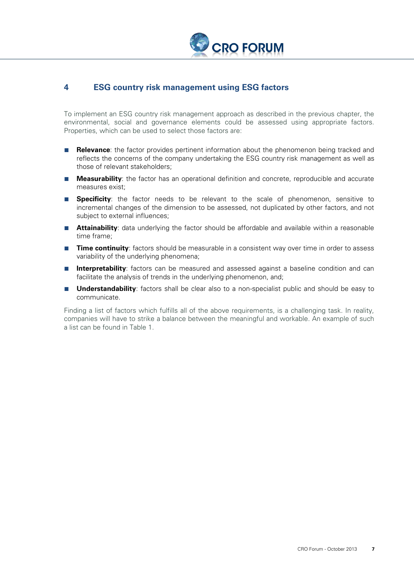

# **4 ESG country risk management using ESG factors**

To implement an ESG country risk management approach as described in the previous chapter, the environmental, social and governance elements could be assessed using appropriate factors. Properties, which can be used to select those factors are:

- **Relevance**: the factor provides pertinent information about the phenomenon being tracked and reflects the concerns of the company undertaking the ESG country risk management as well as those of relevant stakeholders;
- **Measurability**: the factor has an operational definition and concrete, reproducible and accurate measures exist;
- **Example:** Specificity: the factor needs to be relevant to the scale of phenomenon, sensitive to incremental changes of the dimension to be assessed, not duplicated by other factors, and not subject to external influences;
- **Attainability**: data underlying the factor should be affordable and available within a reasonable time frame;
- **Time continuity**: factors should be measurable in a consistent way over time in order to assess variability of the underlying phenomena;
- **Interpretability**: factors can be measured and assessed against a baseline condition and can facilitate the analysis of trends in the underlying phenomenon, and;
- **Understandability**: factors shall be clear also to a non-specialist public and should be easy to communicate.

Finding a list of factors which fulfills all of the above requirements, is a challenging task. In reality, companies will have to strike a balance between the meaningful and workable. An example of such a list can be found in Table 1.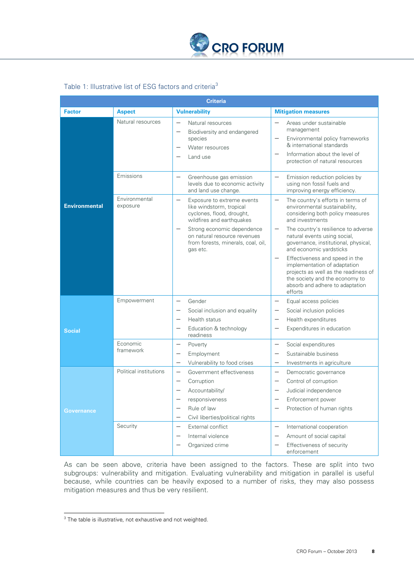

# Table 1: Illustrative list of ESG factors and criteria $^3$

| <b>Criteria</b>      |                           |                                                                                                                                                                                                                                                              |                                                                                                                                                                                                                                                                                                                      |  |  |
|----------------------|---------------------------|--------------------------------------------------------------------------------------------------------------------------------------------------------------------------------------------------------------------------------------------------------------|----------------------------------------------------------------------------------------------------------------------------------------------------------------------------------------------------------------------------------------------------------------------------------------------------------------------|--|--|
| <b>Factor</b>        | <b>Aspect</b>             | <b>Vulnerability</b>                                                                                                                                                                                                                                         | <b>Mitigation measures</b>                                                                                                                                                                                                                                                                                           |  |  |
|                      | Natural resources         | $\overline{\phantom{0}}$<br>Natural resources<br>Biodiversity and endangered<br>species<br>Water resources<br>Land use                                                                                                                                       | Areas under sustainable<br>management<br>Environmental policy frameworks<br>$\overline{\phantom{0}}$<br>& international standards<br>Information about the level of<br>protection of natural resources                                                                                                               |  |  |
|                      | Emissions                 | $\overline{\phantom{0}}$<br>Greenhouse gas emission<br>levels due to economic activity<br>and land use change.                                                                                                                                               | $\overline{\phantom{0}}$<br>Emission reduction policies by<br>using non fossil fuels and<br>improving energy efficiency.                                                                                                                                                                                             |  |  |
| <b>Environmental</b> | Environmental<br>exposure | $\overline{\phantom{0}}$<br>Exposure to extreme events<br>like windstorm, tropical<br>cyclones, flood, drought,<br>wildfires and earthquakes<br>Strong economic dependence<br>on natural resource revenues<br>from forests, minerals, coal, oil,<br>gas etc. | $\overline{\phantom{0}}$<br>The country's efforts in terms of<br>environmental sustainability,<br>considering both policy measures<br>and investments<br>The country's resilience to adverse<br>$\qquad \qquad -$<br>natural events using social,<br>governance, institutional, physical,<br>and economic vardsticks |  |  |
|                      |                           |                                                                                                                                                                                                                                                              | Effectiveness and speed in the<br>implementation of adaptation<br>projects as well as the readiness of<br>the society and the economy to<br>absorb and adhere to adaptation<br>efforts                                                                                                                               |  |  |
| <b>Social</b>        | Empowerment               | $\overline{\phantom{0}}$<br>Gender<br>Social inclusion and equality<br>Health status<br>$\overline{\phantom{0}}$<br>Education & technology<br>readiness                                                                                                      | $\overline{\phantom{0}}$<br>Equal access policies<br>Social inclusion policies<br>Health expenditures<br>Expenditures in education                                                                                                                                                                                   |  |  |
|                      | Economic<br>framework     | $\overline{\phantom{0}}$<br>Poverty<br>Employment<br>$\overline{\phantom{0}}$<br>Vulnerability to food crises<br>$\qquad \qquad -$                                                                                                                           | $\overline{\phantom{0}}$<br>Social expenditures<br>Sustainable business<br>$\qquad \qquad -$<br>Investments in agriculture                                                                                                                                                                                           |  |  |
| <b>Governance</b>    | Political institutions    | $\equiv$<br>Government effectiveness<br>Corruption<br>$\overline{\phantom{0}}$<br>Accountability/<br>responsiveness<br>$\overline{\phantom{0}}$<br>Rule of law<br>Civil liberties/political rights                                                           | $\overline{\phantom{0}}$<br>Democratic governance<br>Control of corruption<br>$\qquad \qquad -$<br>Judicial independence<br>Enforcement power<br>Protection of human rights                                                                                                                                          |  |  |
|                      | Security                  | $\overline{\phantom{0}}$<br>External conflict<br>Internal violence<br>$\overline{\phantom{0}}$<br>Organized crime                                                                                                                                            | $\overline{\phantom{0}}$<br>International cooperation<br>$\overline{\phantom{0}}$<br>Amount of social capital<br>Effectiveness of security<br>enforcement                                                                                                                                                            |  |  |

As can be seen above, criteria have been assigned to the factors. These are split into two subgroups: vulnerability and mitigation. Evaluating vulnerability and mitigation in parallel is useful because, while countries can be heavily exposed to a number of risks, they may also possess mitigation measures and thus be very resilient.

 3 The table is illustrative, not exhaustive and not weighted.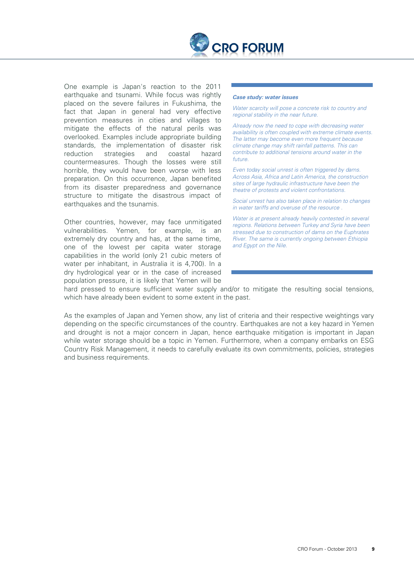

One example is Japan's reaction to the 2011 earthquake and tsunami. While focus was rightly placed on the severe failures in Fukushima, the fact that Japan in general had very effective prevention measures in cities and villages to mitigate the effects of the natural perils was overlooked. Examples include appropriate building standards, the implementation of disaster risk reduction strategies and coastal hazard countermeasures. Though the losses were still horrible, they would have been worse with less preparation. On this occurrence, Japan benefited from its disaster preparedness and governance structure to mitigate the disastrous impact of earthquakes and the tsunamis.

Other countries, however, may face unmitigated vulnerabilities. Yemen, for example, is an extremely dry country and has, at the same time, one of the lowest per capita water storage capabilities in the world (only 21 cubic meters of water per inhabitant, in Australia it is 4,700). In a dry hydrological year or in the case of increased population pressure, it is likely that Yemen will be

#### *Case study: water issues*

*Water scarcity will pose a concrete risk to country and regional stability in the near future.*

*Already now the need to cope with decreasing water availability is often coupled with extreme climate events. The latter may become even more frequent because climate change may shift rainfall patterns. This can contribute to additional tensions around water in the future.*

*Even today social unrest is often triggered by dams. Across Asia, Africa and Latin America, the construction sites of large hydraulic infrastructure have been the theatre of protests and violent confrontations.* 

*Social unrest has also taken place in relation to changes in water tariffs and overuse of the resource .*

*Water is at present already heavily contested in several regions. Relations between Turkey and Syria have been stressed due to construction of dams on the Euphrates River. The same is currently ongoing between Ethiopia and Egypt on the Nile.*

hard pressed to ensure sufficient water supply and/or to mitigate the resulting social tensions, which have already been evident to some extent in the past.

As the examples of Japan and Yemen show, any list of criteria and their respective weightings vary depending on the specific circumstances of the country. Earthquakes are not a key hazard in Yemen and drought is not a major concern in Japan, hence earthquake mitigation is important in Japan while water storage should be a topic in Yemen. Furthermore, when a company embarks on ESG Country Risk Management, it needs to carefully evaluate its own commitments, policies, strategies and business requirements.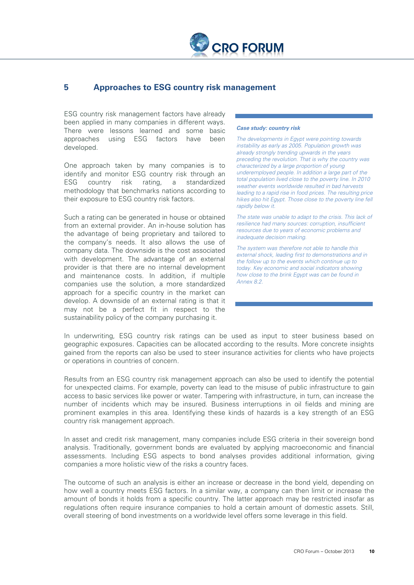

# **5 Approaches to ESG country risk management**

ESG country risk management factors have already been applied in many companies in different ways. There were lessons learned and some basic approaches using ESG factors have been developed.

One approach taken by many companies is to identify and monitor ESG country risk through an ESG country risk rating, a standardized methodology that benchmarks nations according to their exposure to ESG country risk factors.

Such a rating can be generated in house or obtained from an external provider. An in-house solution has the advantage of being proprietary and tailored to the company's needs. It also allows the use of company data. The downside is the cost associated with development. The advantage of an external provider is that there are no internal development and maintenance costs. In addition, if multiple companies use the solution, a more standardized approach for a specific country in the market can develop. A downside of an external rating is that it may not be a perfect fit in respect to the sustainability policy of the company purchasing it.

#### *Case study: country risk*

*The developments in Egypt were pointing towards instability as early as 2005. Population growth was already strongly trending upwards in the years preceding the revolution. That is why the country was characterized by a large proportion of young underemployed people. In addition a large part of the total population lived close to the poverty line. In 2010 weather events worldwide resulted in bad harvests leading to a rapid rise in food prices. The resulting price hikes also hit Egypt. Those close to the poverty line fell rapidly below it.* 

*The state was unable to adapt to the crisis. This lack of resilience had many sources: corruption, insufficient resources due to years of economic problems and inadequate decision making.*

*The system was therefore not able to handle this external shock, leading first to demonstrations and in the follow up to the events which continue up to today. Key economic and social indicators showing how close to the brink Egypt was can be found in Annex 8.2.*

In underwriting, ESG country risk ratings can be used as input to steer business based on geographic exposures. Capacities can be allocated according to the results. More concrete insights gained from the reports can also be used to steer insurance activities for clients who have projects or operations in countries of concern.

Results from an ESG country risk management approach can also be used to identify the potential for unexpected claims. For example, poverty can lead to the misuse of public infrastructure to gain access to basic services like power or water. Tampering with infrastructure, in turn, can increase the number of incidents which may be insured. Business interruptions in oil fields and mining are prominent examples in this area. Identifying these kinds of hazards is a key strength of an ESG country risk management approach.

In asset and credit risk management, many companies include ESG criteria in their sovereign bond analysis. Traditionally, government bonds are evaluated by applying macroeconomic and financial assessments. Including ESG aspects to bond analyses provides additional information, giving companies a more holistic view of the risks a country faces.

The outcome of such an analysis is either an increase or decrease in the bond yield, depending on how well a country meets ESG factors. In a similar way, a company can then limit or increase the amount of bonds it holds from a specific country. The latter approach may be restricted insofar as regulations often require insurance companies to hold a certain amount of domestic assets. Still, overall steering of bond investments on a worldwide level offers some leverage in this field.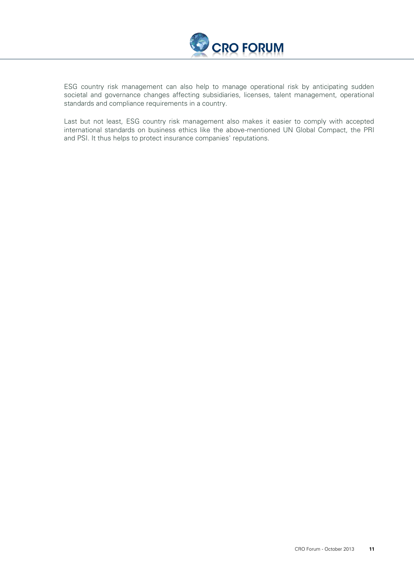

ESG country risk management can also help to manage operational risk by anticipating sudden societal and governance changes affecting subsidiaries, licenses, talent management, operational standards and compliance requirements in a country.

Last but not least, ESG country risk management also makes it easier to comply with accepted international standards on business ethics like the above-mentioned UN Global Compact, the PRI and PSI. It thus helps to protect insurance companies' reputations.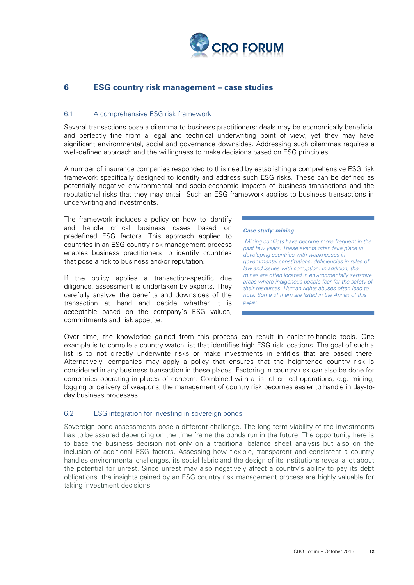

# **6 ESG country risk management – case studies**

## 6.1 A comprehensive ESG risk framework

Several transactions pose a dilemma to business practitioners: deals may be economically beneficial and perfectly fine from a legal and technical underwriting point of view, yet they may have significant environmental, social and governance downsides. Addressing such dilemmas requires a well-defined approach and the willingness to make decisions based on ESG principles.

A number of insurance companies responded to this need by establishing a comprehensive ESG risk framework specifically designed to identify and address such ESG risks. These can be defined as potentially negative environmental and socio-economic impacts of business transactions and the reputational risks that they may entail. Such an ESG framework applies to business transactions in underwriting and investments.

The framework includes a policy on how to identify and handle critical business cases based on predefined ESG factors. This approach applied to countries in an ESG country risk management process enables business practitioners to identify countries that pose a risk to business and/or reputation.

If the policy applies a transaction-specific due diligence, assessment is undertaken by experts. They carefully analyze the benefits and downsides of the transaction at hand and decide whether it is acceptable based on the company's ESG values, commitments and risk appetite.

#### *Case study: mining*

*Mining conflicts have become more frequent in the past few years. These events often take place in developing countries with weaknesses in governmental constitutions, deficiencies in rules of law and issues with corruption. In addition, the mines are often located in environmentally sensitive areas where indigenous people fear for the safety of their resources. Human rights abuses often lead to riots. Some of them are listed in the Annex of this paper.*

Over time, the knowledge gained from this process can result in easier-to-handle tools. One example is to compile a country watch list that identifies high ESG risk locations. The goal of such a list is to not directly underwrite risks or make investments in entities that are based there. Alternatively, companies may apply a policy that ensures that the heightened country risk is considered in any business transaction in these places. Factoring in country risk can also be done for companies operating in places of concern. Combined with a list of critical operations, e.g. mining, logging or delivery of weapons, the management of country risk becomes easier to handle in day-today business processes.

## 6.2 ESG integration for investing in sovereign bonds

Sovereign bond assessments pose a different challenge. The long-term viability of the investments has to be assured depending on the time frame the bonds run in the future. The opportunity here is to base the business decision not only on a traditional balance sheet analysis but also on the inclusion of additional ESG factors. Assessing how flexible, transparent and consistent a country handles environmental challenges, its social fabric and the design of its institutions reveal a lot about the potential for unrest. Since unrest may also negatively affect a country's ability to pay its debt obligations, the insights gained by an ESG country risk management process are highly valuable for taking investment decisions.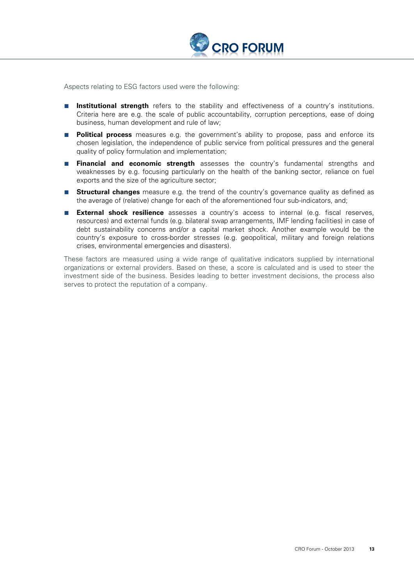

Aspects relating to ESG factors used were the following:

- **Institutional strength** refers to the stability and effectiveness of a country's institutions. Criteria here are e.g. the scale of public accountability, corruption perceptions, ease of doing business, human development and rule of law;
- **Political process** measures e.g. the government's ability to propose, pass and enforce its chosen legislation, the independence of public service from political pressures and the general quality of policy formulation and implementation;
- **Financial and economic strength** assesses the country's fundamental strengths and weaknesses by e.g. focusing particularly on the health of the banking sector, reliance on fuel exports and the size of the agriculture sector;
- **Structural changes** measure e.g. the trend of the country's governance quality as defined as the average of (relative) change for each of the aforementioned four sub-indicators, and;
- **External shock resilience** assesses a country's access to internal (e.g. fiscal reserves, resources) and external funds (e.g. bilateral swap arrangements, IMF lending facilities) in case of debt sustainability concerns and/or a capital market shock. Another example would be the country's exposure to cross-border stresses (e.g. geopolitical, military and foreign relations crises, environmental emergencies and disasters).

These factors are measured using a wide range of qualitative indicators supplied by international organizations or external providers. Based on these, a score is calculated and is used to steer the investment side of the business. Besides leading to better investment decisions, the process also serves to protect the reputation of a company.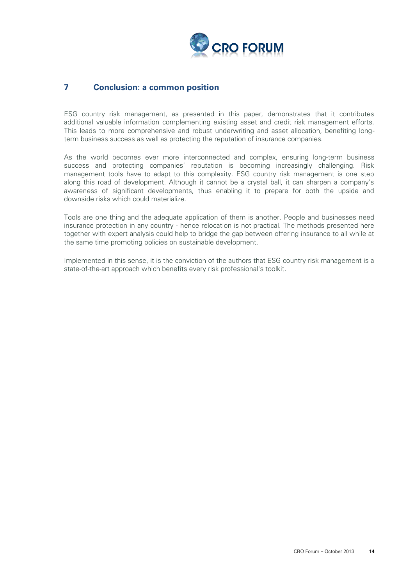

# **7 Conclusion: a common position**

ESG country risk management, as presented in this paper, demonstrates that it contributes additional valuable information complementing existing asset and credit risk management efforts. This leads to more comprehensive and robust underwriting and asset allocation, benefiting longterm business success as well as protecting the reputation of insurance companies.

As the world becomes ever more interconnected and complex, ensuring long-term business success and protecting companies' reputation is becoming increasingly challenging. Risk management tools have to adapt to this complexity. ESG country risk management is one step along this road of development. Although it cannot be a crystal ball, it can sharpen a company's awareness of significant developments, thus enabling it to prepare for both the upside and downside risks which could materialize.

Tools are one thing and the adequate application of them is another. People and businesses need insurance protection in any country - hence relocation is not practical. The methods presented here together with expert analysis could help to bridge the gap between offering insurance to all while at the same time promoting policies on sustainable development.

Implemented in this sense, it is the conviction of the authors that ESG country risk management is a state-of-the-art approach which benefits every risk professional's toolkit.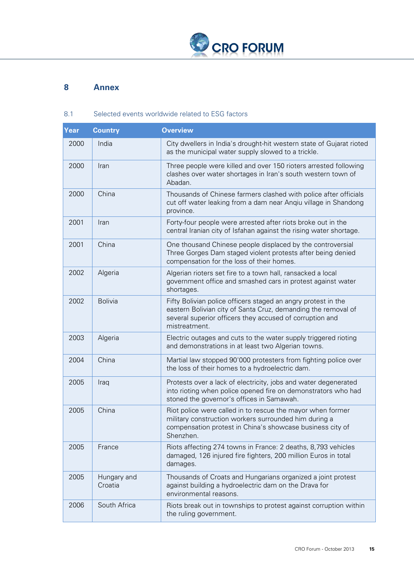

# **8 Annex**

# 8.1 Selected events worldwide related to ESG factors

| Year | <b>Country</b>         | <b>Overview</b>                                                                                                                                                                                             |
|------|------------------------|-------------------------------------------------------------------------------------------------------------------------------------------------------------------------------------------------------------|
| 2000 | India                  | City dwellers in India's drought-hit western state of Gujarat rioted<br>as the municipal water supply slowed to a trickle.                                                                                  |
| 2000 | Iran                   | Three people were killed and over 150 rioters arrested following<br>clashes over water shortages in Iran's south western town of<br>Abadan.                                                                 |
| 2000 | China                  | Thousands of Chinese farmers clashed with police after officials<br>cut off water leaking from a dam near Angiu village in Shandong<br>province.                                                            |
| 2001 | Iran                   | Forty-four people were arrested after riots broke out in the<br>central Iranian city of Isfahan against the rising water shortage.                                                                          |
| 2001 | China                  | One thousand Chinese people displaced by the controversial<br>Three Gorges Dam staged violent protests after being denied<br>compensation for the loss of their homes.                                      |
| 2002 | Algeria                | Algerian rioters set fire to a town hall, ransacked a local<br>government office and smashed cars in protest against water<br>shortages.                                                                    |
| 2002 | <b>Bolivia</b>         | Fifty Bolivian police officers staged an angry protest in the<br>eastern Bolivian city of Santa Cruz, demanding the removal of<br>several superior officers they accused of corruption and<br>mistreatment. |
| 2003 | Algeria                | Electric outages and cuts to the water supply triggered rioting<br>and demonstrations in at least two Algerian towns.                                                                                       |
| 2004 | China                  | Martial law stopped 90'000 protesters from fighting police over<br>the loss of their homes to a hydroelectric dam.                                                                                          |
| 2005 | Iraq                   | Protests over a lack of electricity, jobs and water degenerated<br>into rioting when police opened fire on demonstrators who had<br>stoned the governor's offices in Samawah.                               |
| 2005 | China                  | Riot police were called in to rescue the mayor when former<br>military construction workers surrounded him during a<br>compensation protest in China's showcase business city of<br>Shenzhen.               |
| 2005 | France                 | Riots affecting 274 towns in France: 2 deaths, 8,793 vehicles<br>damaged, 126 injured fire fighters, 200 million Euros in total<br>damages.                                                                 |
| 2005 | Hungary and<br>Croatia | Thousands of Croats and Hungarians organized a joint protest<br>against building a hydroelectric dam on the Drava for<br>environmental reasons.                                                             |
| 2006 | South Africa           | Riots break out in townships to protest against corruption within<br>the ruling government.                                                                                                                 |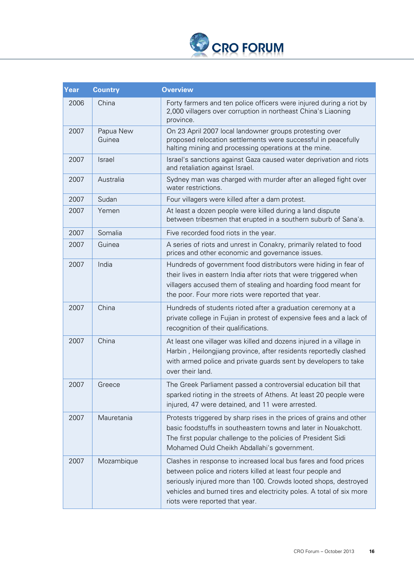

| Year | <b>Country</b>      | <b>Overview</b>                                                                                                                                                                                                                                                                                             |
|------|---------------------|-------------------------------------------------------------------------------------------------------------------------------------------------------------------------------------------------------------------------------------------------------------------------------------------------------------|
| 2006 | China               | Forty farmers and ten police officers were injured during a riot by<br>2,000 villagers over corruption in northeast China's Liaoning<br>province.                                                                                                                                                           |
| 2007 | Papua New<br>Guinea | On 23 April 2007 local landowner groups protesting over<br>proposed relocation settlements were successful in peacefully<br>halting mining and processing operations at the mine.                                                                                                                           |
| 2007 | Israel              | Israel's sanctions against Gaza caused water deprivation and riots<br>and retaliation against Israel.                                                                                                                                                                                                       |
| 2007 | Australia           | Sydney man was charged with murder after an alleged fight over<br>water restrictions.                                                                                                                                                                                                                       |
| 2007 | Sudan               | Four villagers were killed after a dam protest.                                                                                                                                                                                                                                                             |
| 2007 | Yemen               | At least a dozen people were killed during a land dispute<br>between tribesmen that erupted in a southern suburb of Sana'a.                                                                                                                                                                                 |
| 2007 | Somalia             | Five recorded food riots in the year.                                                                                                                                                                                                                                                                       |
| 2007 | Guinea              | A series of riots and unrest in Conakry, primarily related to food<br>prices and other economic and governance issues.                                                                                                                                                                                      |
| 2007 | India               | Hundreds of government food distributors were hiding in fear of<br>their lives in eastern India after riots that were triggered when<br>villagers accused them of stealing and hoarding food meant for<br>the poor. Four more riots were reported that year.                                                |
| 2007 | China               | Hundreds of students rioted after a graduation ceremony at a<br>private college in Fujian in protest of expensive fees and a lack of<br>recognition of their qualifications.                                                                                                                                |
| 2007 | China               | At least one villager was killed and dozens injured in a village in<br>Harbin, Heilongjiang province, after residents reportedly clashed<br>with armed police and private guards sent by developers to take<br>over their land.                                                                             |
| 2007 | Greece              | The Greek Parliament passed a controversial education bill that<br>sparked rioting in the streets of Athens. At least 20 people were<br>injured, 47 were detained, and 11 were arrested.                                                                                                                    |
| 2007 | Mauretania          | Protests triggered by sharp rises in the prices of grains and other<br>basic foodstuffs in southeastern towns and later in Nouakchott.<br>The first popular challenge to the policies of President Sidi<br>Mohamed Ould Cheikh Abdallahi's government.                                                      |
| 2007 | Mozambique          | Clashes in response to increased local bus fares and food prices<br>between police and rioters killed at least four people and<br>seriously injured more than 100. Crowds looted shops, destroyed<br>vehicles and burned tires and electricity poles. A total of six more<br>riots were reported that year. |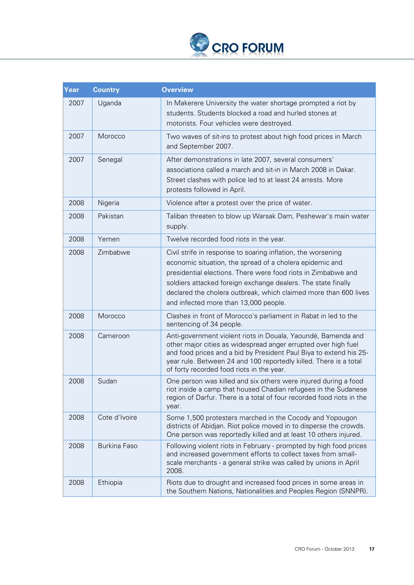

| Year | <b>Country</b> | <b>Overview</b>                                                                                                                                                                                                                                                                                                                                                         |
|------|----------------|-------------------------------------------------------------------------------------------------------------------------------------------------------------------------------------------------------------------------------------------------------------------------------------------------------------------------------------------------------------------------|
| 2007 | Uganda         | In Makerere University the water shortage prompted a riot by<br>students. Students blocked a road and hurled stones at<br>motorists. Four vehicles were destroyed.                                                                                                                                                                                                      |
| 2007 | Morocco        | Two waves of sit-ins to protest about high food prices in March<br>and September 2007.                                                                                                                                                                                                                                                                                  |
| 2007 | Senegal        | After demonstrations in late 2007, several consumers'<br>associations called a march and sit-in in March 2008 in Dakar.<br>Street clashes with police led to at least 24 arrests. More<br>protests followed in April.                                                                                                                                                   |
| 2008 | Nigeria        | Violence after a protest over the price of water.                                                                                                                                                                                                                                                                                                                       |
| 2008 | Pakistan       | Taliban threaten to blow up Warsak Dam, Peshewar's main water<br>supply.                                                                                                                                                                                                                                                                                                |
| 2008 | Yemen          | Twelve recorded food riots in the year.                                                                                                                                                                                                                                                                                                                                 |
| 2008 | Zimbabwe       | Civil strife in response to soaring inflation, the worsening<br>economic situation, the spread of a cholera epidemic and<br>presidential elections. There were food riots in Zimbabwe and<br>soldiers attacked foreign exchange dealers. The state finally<br>declared the cholera outbreak, which claimed more than 600 lives<br>and infected more than 13,000 people. |
| 2008 | Morocco        | Clashes in front of Morocco's parliament in Rabat in led to the<br>sentencing of 34 people.                                                                                                                                                                                                                                                                             |
| 2008 | Cameroon       | Anti-government violent riots in Douala, Yaoundé, Bamenda and<br>other major cities as widespread anger errupted over high fuel<br>and food prices and a bid by President Paul Biya to extend his 25-<br>year rule. Between 24 and 100 reportedly killed. There is a total<br>of forty recorded food riots in the year.                                                 |
| 2008 | Sudan          | One person was killed and six others were injured during a food<br>riot inside a camp that housed Chadian refugees in the Sudanese<br>region of Darfur. There is a total of four recorded food riots in the<br>year.                                                                                                                                                    |
| 2008 | Cote d'Ivoire  | Some 1,500 protesters marched in the Cocody and Yopougon<br>districts of Abidjan. Riot police moved in to disperse the crowds.<br>One person was reportedly killed and at least 10 others injured.                                                                                                                                                                      |
| 2008 | Burkina Faso   | Following violent riots in February - prompted by high food prices<br>and increased government efforts to collect taxes from small-<br>scale merchants - a general strike was called by unions in April<br>2008.                                                                                                                                                        |
| 2008 | Ethiopia       | Riots due to drought and increased food prices in some areas in<br>the Southern Nations, Nationalities and Peoples Region (SNNPR).                                                                                                                                                                                                                                      |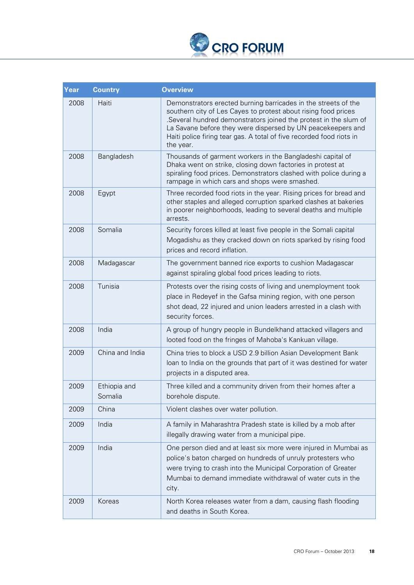

| Year | <b>Country</b>          | <b>Overview</b>                                                                                                                                                                                                                                                                                                                                         |
|------|-------------------------|---------------------------------------------------------------------------------------------------------------------------------------------------------------------------------------------------------------------------------------------------------------------------------------------------------------------------------------------------------|
| 2008 | Haiti                   | Demonstrators erected burning barricades in the streets of the<br>southern city of Les Cayes to protest about rising food prices<br>Several hundred demonstrators joined the protest in the slum of<br>La Savane before they were dispersed by UN peacekeepers and<br>Haiti police firing tear gas. A total of five recorded food riots in<br>the year. |
| 2008 | Bangladesh              | Thousands of garment workers in the Bangladeshi capital of<br>Dhaka went on strike, closing down factories in protest at<br>spiraling food prices. Demonstrators clashed with police during a<br>rampage in which cars and shops were smashed.                                                                                                          |
| 2008 | Egypt                   | Three recorded food riots in the year. Rising prices for bread and<br>other staples and alleged corruption sparked clashes at bakeries<br>in poorer neighborhoods, leading to several deaths and multiple<br>arrests.                                                                                                                                   |
| 2008 | Somalia                 | Security forces killed at least five people in the Somali capital<br>Mogadishu as they cracked down on riots sparked by rising food<br>prices and record inflation.                                                                                                                                                                                     |
| 2008 | Madagascar              | The government banned rice exports to cushion Madagascar<br>against spiraling global food prices leading to riots.                                                                                                                                                                                                                                      |
| 2008 | Tunisia                 | Protests over the rising costs of living and unemployment took<br>place in Redeyef in the Gafsa mining region, with one person<br>shot dead, 22 injured and union leaders arrested in a clash with<br>security forces.                                                                                                                                  |
| 2008 | India                   | A group of hungry people in Bundelkhand attacked villagers and<br>looted food on the fringes of Mahoba's Kankuan village.                                                                                                                                                                                                                               |
| 2009 | China and India         | China tries to block a USD 2.9 billion Asian Development Bank<br>loan to India on the grounds that part of it was destined for water<br>projects in a disputed area.                                                                                                                                                                                    |
| 2009 | Ethiopia and<br>Somalia | Three killed and a community driven from their homes after a<br>borehole dispute.                                                                                                                                                                                                                                                                       |
| 2009 | China                   | Violent clashes over water pollution.                                                                                                                                                                                                                                                                                                                   |
| 2009 | India                   | A family in Maharashtra Pradesh state is killed by a mob after<br>illegally drawing water from a municipal pipe.                                                                                                                                                                                                                                        |
| 2009 | India                   | One person died and at least six more were injured in Mumbai as<br>police's baton charged on hundreds of unruly protesters who<br>were trying to crash into the Municipal Corporation of Greater<br>Mumbai to demand immediate withdrawal of water cuts in the<br>city.                                                                                 |
| 2009 | Koreas                  | North Korea releases water from a dam, causing flash flooding<br>and deaths in South Korea.                                                                                                                                                                                                                                                             |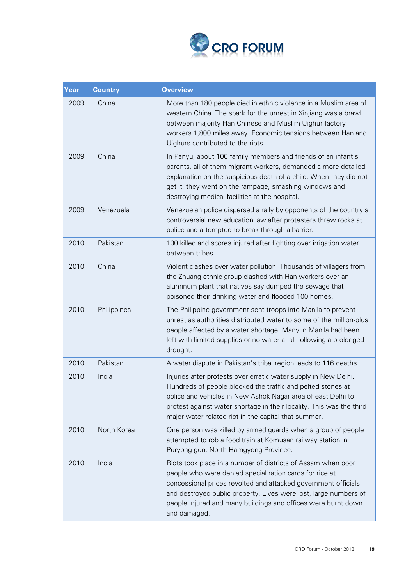

| Year | <b>Country</b> | <b>Overview</b>                                                                                                                                                                                                                                                                                                                                |
|------|----------------|------------------------------------------------------------------------------------------------------------------------------------------------------------------------------------------------------------------------------------------------------------------------------------------------------------------------------------------------|
| 2009 | China          | More than 180 people died in ethnic violence in a Muslim area of<br>western China. The spark for the unrest in Xinjiang was a brawl<br>between majority Han Chinese and Muslim Uighur factory<br>workers 1,800 miles away. Economic tensions between Han and<br>Uighurs contributed to the riots.                                              |
| 2009 | China          | In Panyu, about 100 family members and friends of an infant's<br>parents, all of them migrant workers, demanded a more detailed<br>explanation on the suspicious death of a child. When they did not<br>get it, they went on the rampage, smashing windows and<br>destroying medical facilities at the hospital.                               |
| 2009 | Venezuela      | Venezuelan police dispersed a rally by opponents of the country's<br>controversial new education law after protesters threw rocks at<br>police and attempted to break through a barrier.                                                                                                                                                       |
| 2010 | Pakistan       | 100 killed and scores injured after fighting over irrigation water<br>between tribes.                                                                                                                                                                                                                                                          |
| 2010 | China          | Violent clashes over water pollution. Thousands of villagers from<br>the Zhuang ethnic group clashed with Han workers over an<br>aluminum plant that natives say dumped the sewage that<br>poisoned their drinking water and flooded 100 homes.                                                                                                |
| 2010 | Philippines    | The Philippine government sent troops into Manila to prevent<br>unrest as authorities distributed water to some of the million-plus<br>people affected by a water shortage. Many in Manila had been<br>left with limited supplies or no water at all following a prolonged<br>drought.                                                         |
| 2010 | Pakistan       | A water dispute in Pakistan's tribal region leads to 116 deaths.                                                                                                                                                                                                                                                                               |
| 2010 | India          | Injuries after protests over erratic water supply in New Delhi.<br>Hundreds of people blocked the traffic and pelted stones at<br>police and vehicles in New Ashok Nagar area of east Delhi to<br>protest against water shortage in their locality. This was the third<br>major water-related riot in the capital that summer.                 |
| 2010 | North Korea    | One person was killed by armed guards when a group of people<br>attempted to rob a food train at Komusan railway station in<br>Puryong-gun, North Hamgyong Province.                                                                                                                                                                           |
| 2010 | India          | Riots took place in a number of districts of Assam when poor<br>people who were denied special ration cards for rice at<br>concessional prices revolted and attacked government officials<br>and destroyed public property. Lives were lost, large numbers of<br>people injured and many buildings and offices were burnt down<br>and damaged. |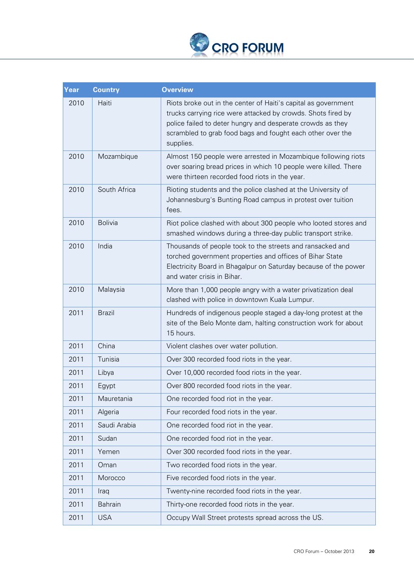

| Year | <b>Country</b> | <b>Overview</b>                                                                                                                                                                                                                                                         |
|------|----------------|-------------------------------------------------------------------------------------------------------------------------------------------------------------------------------------------------------------------------------------------------------------------------|
| 2010 | Haiti          | Riots broke out in the center of Haiti's capital as government<br>trucks carrying rice were attacked by crowds. Shots fired by<br>police failed to deter hungry and desperate crowds as they<br>scrambled to grab food bags and fought each other over the<br>supplies. |
| 2010 | Mozambique     | Almost 150 people were arrested in Mozambique following riots<br>over soaring bread prices in which 10 people were killed. There<br>were thirteen recorded food riots in the year.                                                                                      |
| 2010 | South Africa   | Rioting students and the police clashed at the University of<br>Johannesburg's Bunting Road campus in protest over tuition<br>fees.                                                                                                                                     |
| 2010 | <b>Bolivia</b> | Riot police clashed with about 300 people who looted stores and<br>smashed windows during a three-day public transport strike.                                                                                                                                          |
| 2010 | India          | Thousands of people took to the streets and ransacked and<br>torched government properties and offices of Bihar State<br>Electricity Board in Bhagalpur on Saturday because of the power<br>and water crisis in Bihar.                                                  |
| 2010 | Malaysia       | More than 1,000 people angry with a water privatization deal<br>clashed with police in downtown Kuala Lumpur.                                                                                                                                                           |
| 2011 | <b>Brazil</b>  | Hundreds of indigenous people staged a day-long protest at the<br>site of the Belo Monte dam, halting construction work for about<br>15 hours.                                                                                                                          |
| 2011 | China          | Violent clashes over water pollution.                                                                                                                                                                                                                                   |
| 2011 | Tunisia        | Over 300 recorded food riots in the year.                                                                                                                                                                                                                               |
| 2011 | Libya          | Over 10,000 recorded food riots in the year.                                                                                                                                                                                                                            |
| 2011 | Egypt          | Over 800 recorded food riots in the year.                                                                                                                                                                                                                               |
| 2011 | Mauretania     | One recorded food riot in the year.                                                                                                                                                                                                                                     |
| 2011 | Algeria        | Four recorded food riots in the year.                                                                                                                                                                                                                                   |
| 2011 | Saudi Arabia   | One recorded food riot in the year.                                                                                                                                                                                                                                     |
| 2011 | Sudan          | One recorded food riot in the year.                                                                                                                                                                                                                                     |
| 2011 | Yemen          | Over 300 recorded food riots in the year.                                                                                                                                                                                                                               |
| 2011 | Oman           | Two recorded food riots in the year.                                                                                                                                                                                                                                    |
| 2011 | Morocco        | Five recorded food riots in the year.                                                                                                                                                                                                                                   |
| 2011 | Iraq           | Twenty-nine recorded food riots in the year.                                                                                                                                                                                                                            |
| 2011 | <b>Bahrain</b> | Thirty-one recorded food riots in the year.                                                                                                                                                                                                                             |
| 2011 | <b>USA</b>     | Occupy Wall Street protests spread across the US.                                                                                                                                                                                                                       |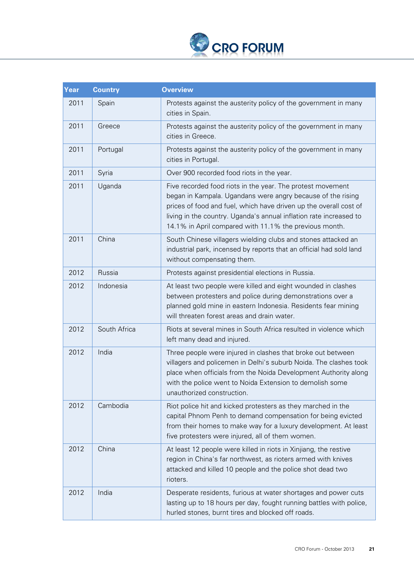

| Year | <b>Country</b> | <b>Overview</b>                                                                                                                                                                                                                                                                                                                |
|------|----------------|--------------------------------------------------------------------------------------------------------------------------------------------------------------------------------------------------------------------------------------------------------------------------------------------------------------------------------|
| 2011 | Spain          | Protests against the austerity policy of the government in many<br>cities in Spain.                                                                                                                                                                                                                                            |
| 2011 | Greece         | Protests against the austerity policy of the government in many<br>cities in Greece.                                                                                                                                                                                                                                           |
| 2011 | Portugal       | Protests against the austerity policy of the government in many<br>cities in Portugal.                                                                                                                                                                                                                                         |
| 2011 | Syria          | Over 900 recorded food riots in the year.                                                                                                                                                                                                                                                                                      |
| 2011 | Uganda         | Five recorded food riots in the year. The protest movement<br>began in Kampala. Ugandans were angry because of the rising<br>prices of food and fuel, which have driven up the overall cost of<br>living in the country. Uganda's annual inflation rate increased to<br>14.1% in April compared with 11.1% the previous month. |
| 2011 | China          | South Chinese villagers wielding clubs and stones attacked an<br>industrial park, incensed by reports that an official had sold land<br>without compensating them.                                                                                                                                                             |
| 2012 | Russia         | Protests against presidential elections in Russia.                                                                                                                                                                                                                                                                             |
| 2012 | Indonesia      | At least two people were killed and eight wounded in clashes<br>between protesters and police during demonstrations over a<br>planned gold mine in eastern Indonesia. Residents fear mining<br>will threaten forest areas and drain water.                                                                                     |
| 2012 | South Africa   | Riots at several mines in South Africa resulted in violence which<br>left many dead and injured.                                                                                                                                                                                                                               |
| 2012 | India          | Three people were injured in clashes that broke out between<br>villagers and policemen in Delhi's suburb Noida. The clashes took<br>place when officials from the Noida Development Authority along<br>with the police went to Noida Extension to demolish some<br>unauthorized construction.                                  |
| 2012 | Cambodia       | Riot police hit and kicked protesters as they marched in the<br>capital Phnom Penh to demand compensation for being evicted<br>from their homes to make way for a luxury development. At least<br>five protesters were injured, all of them women.                                                                             |
| 2012 | China          | At least 12 people were killed in riots in Xinjiang, the restive<br>region in China's far northwest, as rioters armed with knives<br>attacked and killed 10 people and the police shot dead two<br>rioters.                                                                                                                    |
| 2012 | India          | Desperate residents, furious at water shortages and power cuts<br>lasting up to 18 hours per day, fought running battles with police,<br>hurled stones, burnt tires and blocked off roads.                                                                                                                                     |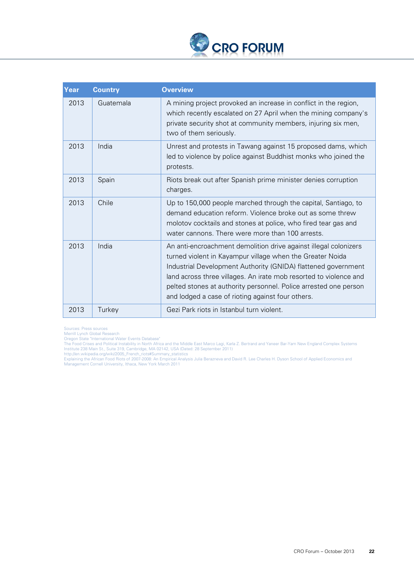

| Year | <b>Country</b> | <b>Overview</b>                                                                                                                                                                                                                                                                                                                                                                              |
|------|----------------|----------------------------------------------------------------------------------------------------------------------------------------------------------------------------------------------------------------------------------------------------------------------------------------------------------------------------------------------------------------------------------------------|
| 2013 | Guatemala      | A mining project provoked an increase in conflict in the region,<br>which recently escalated on 27 April when the mining company's<br>private security shot at community members, injuring six men,<br>two of them seriously.                                                                                                                                                                |
| 2013 | India          | Unrest and protests in Tawang against 15 proposed dams, which<br>led to violence by police against Buddhist monks who joined the<br>protests.                                                                                                                                                                                                                                                |
| 2013 | Spain          | Riots break out after Spanish prime minister denies corruption<br>charges.                                                                                                                                                                                                                                                                                                                   |
| 2013 | Chile          | Up to 150,000 people marched through the capital, Santiago, to<br>demand education reform. Violence broke out as some threw<br>molotov cocktails and stones at police, who fired tear gas and<br>water cannons. There were more than 100 arrests.                                                                                                                                            |
| 2013 | India          | An anti-encroachment demolition drive against illegal colonizers<br>turned violent in Kayampur village when the Greater Noida<br>Industrial Development Authority (GNIDA) flattened government<br>land across three villages. An irate mob resorted to violence and<br>pelted stones at authority personnel. Police arrested one person<br>and lodged a case of rioting against four others. |
| 2013 | Turkey         | Gezi Park riots in Istanbul turn violent.                                                                                                                                                                                                                                                                                                                                                    |

Sources: Press sources<br>Merrill Lynch Global Research<br>Oregon State "International Water Events Database"<br>The Food Crises and Political Instability in North Africa and the Middle East Marco Lagi, Karla Z. Bertrand and Yaneer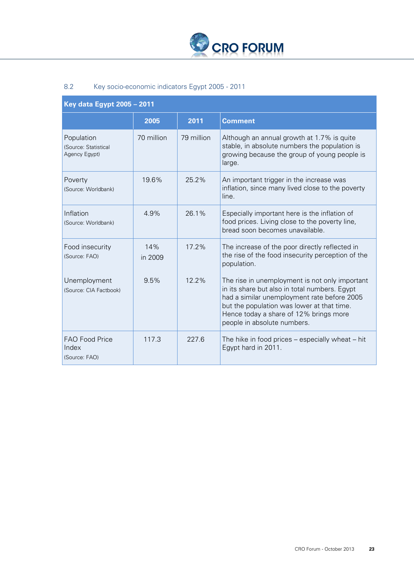

# 8.2 Key socio-economic indicators Egypt 2005 - 2011

| Key data Egypt 2005 - 2011                          |                |            |                                                                                                                                                                                                                                                                       |  |  |
|-----------------------------------------------------|----------------|------------|-----------------------------------------------------------------------------------------------------------------------------------------------------------------------------------------------------------------------------------------------------------------------|--|--|
|                                                     | 2005           | 2011       | <b>Comment</b>                                                                                                                                                                                                                                                        |  |  |
| Population<br>(Source: Statistical<br>Agency Egypt) | 70 million     | 79 million | Although an annual growth at 1.7% is quite<br>stable, in absolute numbers the population is<br>growing because the group of young people is<br>large.                                                                                                                 |  |  |
| Poverty<br>(Source: Worldbank)                      | 19.6%          | 25.2%      | An important trigger in the increase was<br>inflation, since many lived close to the poverty<br>line.                                                                                                                                                                 |  |  |
| Inflation<br>(Source: Worldbank)                    | 4.9%           | 26.1%      | Especially important here is the inflation of<br>food prices. Living close to the poverty line,<br>bread soon becomes unavailable.                                                                                                                                    |  |  |
| Food insecurity<br>(Source: FAO)                    | 14%<br>in 2009 | 17.2%      | The increase of the poor directly reflected in<br>the rise of the food insecurity perception of the<br>population.                                                                                                                                                    |  |  |
| Unemployment<br>(Source: CIA Factbook)              | 9.5%           | 12.2%      | The rise in unemployment is not only important<br>in its share but also in total numbers. Egypt<br>had a similar unemployment rate before 2005<br>but the population was lower at that time.<br>Hence today a share of 12% brings more<br>people in absolute numbers. |  |  |
| <b>FAO Food Price</b><br>Index<br>(Source: FAO)     | 117.3          | 227.6      | The hike in food prices $-$ especially wheat $-$ hit<br>Egypt hard in 2011.                                                                                                                                                                                           |  |  |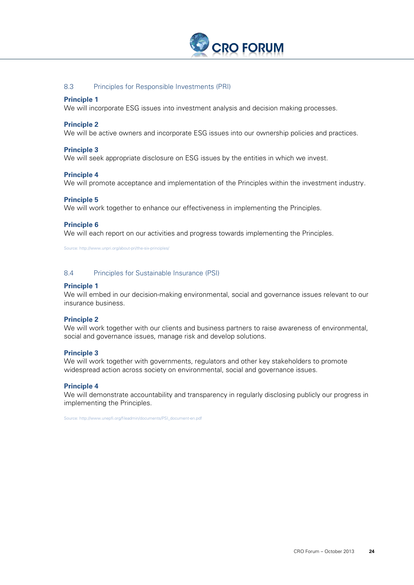

## 8.3 Principles for Responsible Investments (PRI)

## **Principle 1**

We will incorporate ESG issues into investment analysis and decision making processes.

## **Principle 2**

We will be active owners and incorporate ESG issues into our ownership policies and practices.

## **Principle 3**

We will seek appropriate disclosure on ESG issues by the entities in which we invest.

## **Principle 4**

We will promote acceptance and implementation of the Principles within the investment industry.

## **Principle 5**

We will work together to enhance our effectiveness in implementing the Principles.

## **Principle 6**

We will each report on our activities and progress towards implementing the Principles.

Source: <http://www.unpri.org/about-pri/the-six-principles/>

## 8.4 Principles for Sustainable Insurance (PSI)

## **Principle 1**

We will embed in our decision-making environmental, social and governance issues relevant to our insurance business.

## **Principle 2**

We will work together with our clients and business partners to raise awareness of environmental, social and governance issues, manage risk and develop solutions.

## **Principle 3**

We will work together with governments, regulators and other key stakeholders to promote widespread action across society on environmental, social and governance issues.

## **Principle 4**

We will demonstrate accountability and transparency in regularly disclosing publicly our progress in implementing the Principles.

Source: [http://www.unepfi.org/fileadmin/documents/PSI\\_document-en.pdf](http://www.unepfi.org/fileadmin/documents/PSI_document-en.pdf)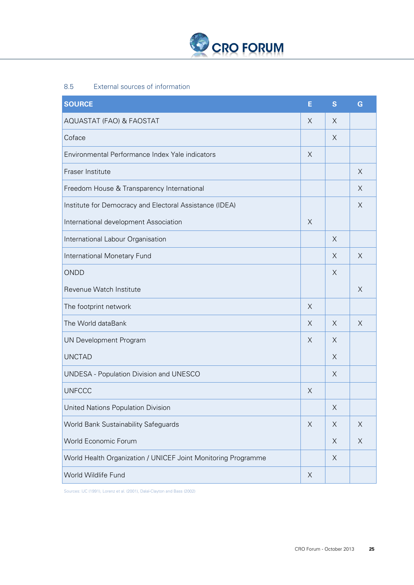

# 8.5 External sources of information

| <b>SOURCE</b>                                                 | E        | S           | G           |
|---------------------------------------------------------------|----------|-------------|-------------|
| AQUASTAT (FAO) & FAOSTAT                                      | X        | X           |             |
| Coface                                                        |          | X           |             |
| Environmental Performance Index Yale indicators               | X        |             |             |
| Fraser Institute                                              |          |             | X           |
| Freedom House & Transparency International                    |          |             | X           |
| Institute for Democracy and Electoral Assistance (IDEA)       |          |             | X           |
| International development Association                         | X        |             |             |
| International Labour Organisation                             |          | X           |             |
| International Monetary Fund                                   |          | X           | X           |
| ONDD                                                          |          | X           |             |
| Revenue Watch Institute                                       |          |             | X           |
| The footprint network                                         | X        |             |             |
| The World dataBank                                            | X        | X           | X           |
| UN Development Program                                        | X        | X           |             |
| <b>UNCTAD</b>                                                 |          | $\times$    |             |
| UNDESA - Population Division and UNESCO                       |          | X           |             |
| <b>UNFCCC</b>                                                 | $\times$ |             |             |
| United Nations Population Division                            |          | $\mathsf X$ |             |
| World Bank Sustainability Safeguards                          | $\times$ | $\mathsf X$ | $\mathsf X$ |
| World Economic Forum                                          |          | X           | X           |
| World Health Organization / UNICEF Joint Monitoring Programme |          | X           |             |
| World Wildlife Fund                                           | X        |             |             |

Sources: IJC (1991), Lorenz et al. (2001), Dalal-Clayton and Bass (2002)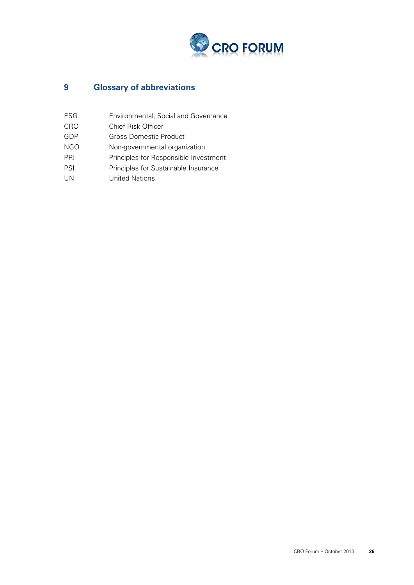

# **9 Glossary of abbreviations**

- ESG Environmental, Social and Governance
- CRO Chief Risk Officer
- GDP Gross Domestic Product
- NGO Non-governmental organization
- PRI Principles for Responsible Investment
- PSI Principles for Sustainable Insurance
- UN United Nations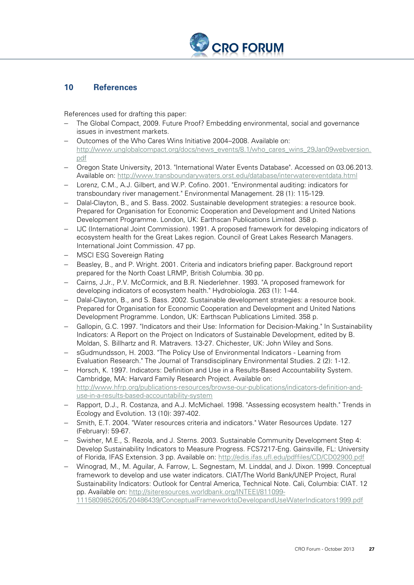

# **10 References**

References used for drafting this paper:

- The Global Compact, 2009. Future Proof? Embedding environmental, social and governance issues in investment markets.
- Outcomes of the Who Cares Wins Initiative 2004–2008. Available on: [http://www.unglobalcompact.org/docs/news\\_events/8.1/who\\_cares\\_wins\\_29Jan09webversion.](http://www.unglobalcompact.org/docs/news_events/8.1/who_cares_wins_29Jan09webversion.pdf) [pdf](http://www.unglobalcompact.org/docs/news_events/8.1/who_cares_wins_29Jan09webversion.pdf)
- Oregon State University, 2013. "International Water Events Database". Accessed on 03.06.2013. Available on:<http://www.transboundarywaters.orst.edu/database/interwatereventdata.html>
- Lorenz, C.M., A.J. Gilbert, and W.P. Cofino. 2001. "Environmental auditing: indicators for transboundary river management." Environmental Management. 28 (1): 115-129.
- Dalal-Clayton, B., and S. Bass. 2002. Sustainable development strategies: a resource book. Prepared for Organisation for Economic Cooperation and Development and United Nations Development Programme. London, UK: Earthscan Publications Limited. 358 p.
- IJC (International Joint Commission). 1991. A proposed framework for developing indicators of ecosystem health for the Great Lakes region. Council of Great Lakes Research Managers. International Joint Commission. 47 pp.
- MSCI ESG Sovereign Rating
- Beasley, B., and P. Wright. 2001. Criteria and indicators briefing paper. Background report prepared for the North Coast LRMP, British Columbia. 30 pp.
- Cairns, J.Jr., P.V. McCormick, and B.R. Niederlehner. 1993. "A proposed framework for developing indicators of ecosystem health." Hydrobiologia. 263 (1): 1-44.
- Dalal-Clayton, B., and S. Bass. 2002. Sustainable development strategies: a resource book. Prepared for Organisation for Economic Cooperation and Development and United Nations Development Programme. London, UK: Earthscan Publications Limited. 358 p.
- Gallopin, G.C. 1997. "Indicators and their Use: Information for Decision-Making." In Sustainability Indicators: A Report on the Project on Indicators of Sustainable Development, edited by B. Moldan, S. Billhartz and R. Matravers. 13-27. Chichester, UK: John Wiley and Sons.
- sGudmundsson, H. 2003. "The Policy Use of Environmental Indicators Learning from Evaluation Research." The Journal of Transdisciplinary Environmental Studies. 2 (2): 1-12.
- Horsch, K. 1997. Indicators: Definition and Use in a Results-Based Accountability System. Cambridge, MA: Harvard Family Research Project. Available on: [http://www.hfrp.org/publications-resources/browse-our-publications/indicators-definition-and](http://www.hfrp.org/publications-resources/browse-our-publications/indicators-definition-and-use-in-a-results-based-accountability-system)[use-in-a-results-based-accountability-system](http://www.hfrp.org/publications-resources/browse-our-publications/indicators-definition-and-use-in-a-results-based-accountability-system)
- Rapport, D.J., R. Costanza, and A.J. McMichael. 1998. "Assessing ecosystem health." Trends in Ecology and Evolution. 13 (10): 397-402.
- Smith, E.T. 2004. "Water resources criteria and indicators." Water Resources Update. 127 (February): 59-67.
- Swisher, M.E., S. Rezola, and J. Sterns. 2003. Sustainable Community Development Step 4: Develop Sustainability Indicators to Measure Progress. FCS7217-Eng. Gainsville, FL: University of Florida, IFAS Extension. 3 pp. Available on:<http://edis.ifas.ufl.edu/pdffiles/CD/CD02900.pdf>
- Winograd, M., M. Aguilar, A. Farrow, L. Segnestam, M. Linddal, and J. Dixon. 1999. Conceptual framework to develop and use water indicators. CIAT/The World Bank/UNEP Project, Rural Sustainability Indicators: Outlook for Central America, Technical Note. Cali, Columbia: CIAT. 12 pp. Available on: [http://siteresources.worldbank.org/INTEEI/811099-](http://siteresources.worldbank.org/INTEEI/811099-1115809852605/20486439/ConceptualFrameworktoDevelopandUseWaterIndicators1999.pdf)

[1115809852605/20486439/ConceptualFrameworktoDevelopandUseWaterIndicators1999.pdf](http://siteresources.worldbank.org/INTEEI/811099-1115809852605/20486439/ConceptualFrameworktoDevelopandUseWaterIndicators1999.pdf)